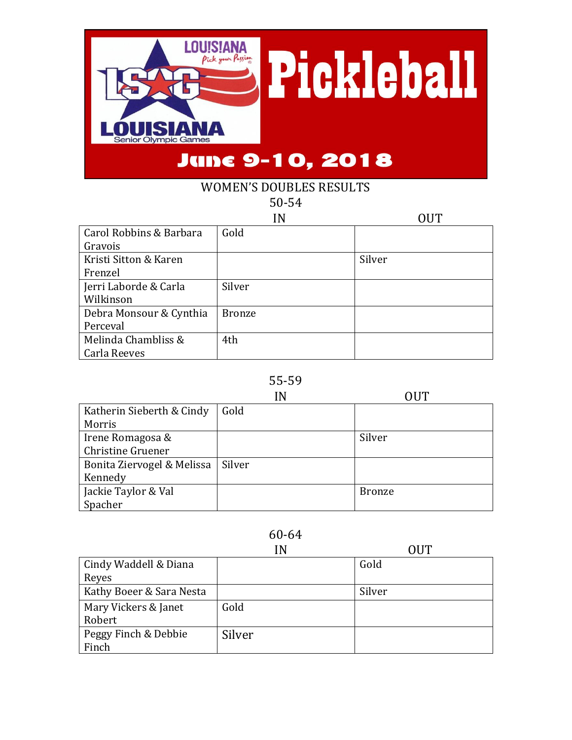

### WOMEN'S DOUBLES RESULTS 50-54

|                         | N             | OUT    |
|-------------------------|---------------|--------|
| Carol Robbins & Barbara | Gold          |        |
| Gravois                 |               |        |
| Kristi Sitton & Karen   |               | Silver |
| Frenzel                 |               |        |
| Jerri Laborde & Carla   | Silver        |        |
| Wilkinson               |               |        |
| Debra Monsour & Cynthia | <b>Bronze</b> |        |
| Perceval                |               |        |
| Melinda Chambliss &     | 4th           |        |
| Carla Reeves            |               |        |

#### 55-59

|                            | ١N     | OUT           |
|----------------------------|--------|---------------|
| Katherin Sieberth & Cindy  | Gold   |               |
| Morris                     |        |               |
| Irene Romagosa &           |        | Silver        |
| Christine Gruener          |        |               |
| Bonita Ziervogel & Melissa | Silver |               |
| Kennedy                    |        |               |
| Jackie Taylor & Val        |        | <b>Bronze</b> |
| Spacher                    |        |               |

|                          | ΙN     | OUT    |
|--------------------------|--------|--------|
| Cindy Waddell & Diana    |        | Gold   |
| Reyes                    |        |        |
| Kathy Boeer & Sara Nesta |        | Silver |
| Mary Vickers & Janet     | Gold   |        |
| Robert                   |        |        |
| Peggy Finch & Debbie     | Silver |        |
| Finch                    |        |        |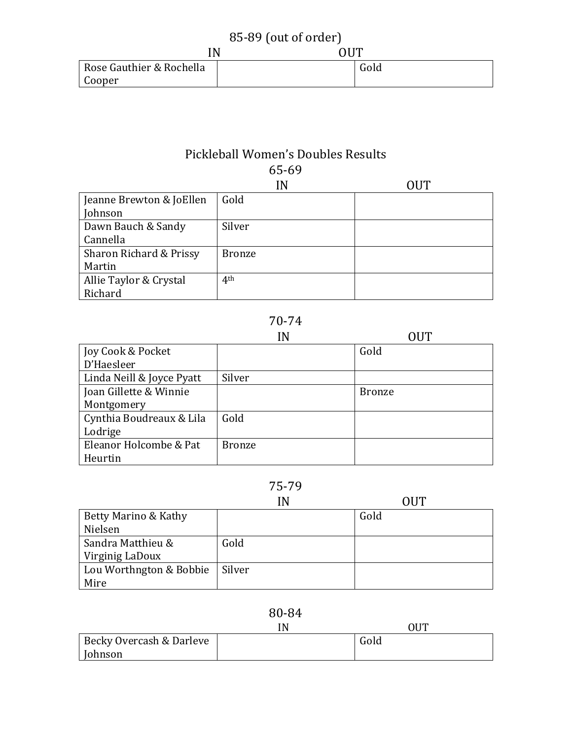| 85-89 (out of order)     |     |      |
|--------------------------|-----|------|
| 'N                       | OUT |      |
| Rose Gauthier & Rochella |     | Gold |
| Cooper                   |     |      |

### Pickleball Women's Doubles Results 65-69

|                          | IN              | NIT |
|--------------------------|-----------------|-----|
| Jeanne Brewton & JoEllen | Gold            |     |
| Johnson                  |                 |     |
| Dawn Bauch & Sandy       | Silver          |     |
| Cannella                 |                 |     |
| Sharon Richard & Prissy  | <b>Bronze</b>   |     |
| Martin                   |                 |     |
| Allie Taylor & Crystal   | 4 <sup>th</sup> |     |
| Richard                  |                 |     |

## 70-74

|                           | IN            |               |
|---------------------------|---------------|---------------|
| Joy Cook & Pocket         |               | Gold          |
| D'Haesleer                |               |               |
| Linda Neill & Joyce Pyatt | Silver        |               |
| Joan Gillette & Winnie    |               | <b>Bronze</b> |
| Montgomery                |               |               |
| Cynthia Boudreaux & Lila  | Gold          |               |
| Lodrige                   |               |               |
| Eleanor Holcombe & Pat    | <b>Bronze</b> |               |
| Heurtin                   |               |               |

# 75-79

|                         | IN     | OUT  |
|-------------------------|--------|------|
| Betty Marino & Kathy    |        | Gold |
| Nielsen                 |        |      |
| Sandra Matthieu &       | Gold   |      |
| Virginig LaDoux         |        |      |
| Lou Worthngton & Bobbie | Silver |      |
| Mire                    |        |      |

|                          | IN | OUT  |
|--------------------------|----|------|
| Becky Overcash & Darleve |    | Gold |
| Johnson                  |    |      |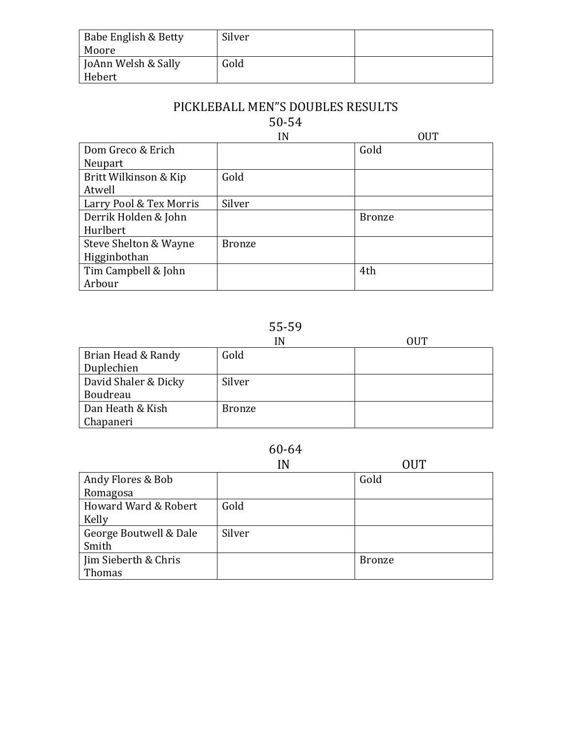| Babe English & Betty<br>Moore | Silver |  |
|-------------------------------|--------|--|
| JoAnn Welsh & Sally           | Gold   |  |
| Hebert                        |        |  |

# PICKLEBALL MEN"S DOUBLES RESULTS

# 50-54

|                         | IN            | <b>OUT</b>    |
|-------------------------|---------------|---------------|
| Dom Greco & Erich       |               | Gold          |
| Neupart                 |               |               |
| Britt Wilkinson & Kip   | Gold          |               |
| Atwell                  |               |               |
| Larry Pool & Tex Morris | Silver        |               |
| Derrik Holden & John    |               | <b>Bronze</b> |
| Hurlbert                |               |               |
| Steve Shelton & Wayne   | <b>Bronze</b> |               |
| Higginbothan            |               |               |
| Tim Campbell & John     |               | 4th           |
| Arbour                  |               |               |

# 55-59

|                      | IN            | OUT |
|----------------------|---------------|-----|
| Brian Head & Randy   | Gold          |     |
| Duplechien           |               |     |
| David Shaler & Dicky | Silver        |     |
| Boudreau             |               |     |
| Dan Heath & Kish     | <b>Bronze</b> |     |
| Chapaneri            |               |     |

|                        | IN     | OUT           |
|------------------------|--------|---------------|
| Andy Flores & Bob      |        | Gold          |
| Romagosa               |        |               |
| Howard Ward & Robert   | Gold   |               |
| Kelly                  |        |               |
| George Boutwell & Dale | Silver |               |
| Smith                  |        |               |
| Jim Sieberth & Chris   |        | <b>Bronze</b> |
| Thomas                 |        |               |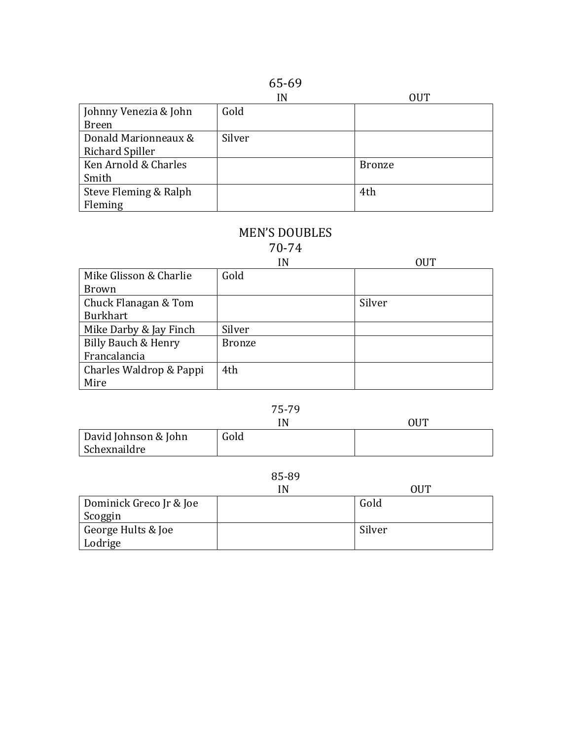|--|--|

|                       | IN     | <b>OUT</b>    |
|-----------------------|--------|---------------|
| Johnny Venezia & John | Gold   |               |
| <b>Breen</b>          |        |               |
| Donald Marionneaux &  | Silver |               |
| Richard Spiller       |        |               |
| Ken Arnold & Charles  |        | <b>Bronze</b> |
| Smith                 |        |               |
| Steve Fleming & Ralph |        | 4th           |
| Fleming               |        |               |

# MEN'S DOUBLES

70-74

|                         | IN            | OUT    |
|-------------------------|---------------|--------|
| Mike Glisson & Charlie  | Gold          |        |
| Brown                   |               |        |
| Chuck Flanagan & Tom    |               | Silver |
| <b>Burkhart</b>         |               |        |
| Mike Darby & Jay Finch  | Silver        |        |
| Billy Bauch & Henry     | <b>Bronze</b> |        |
| Francalancia            |               |        |
| Charles Waldrop & Pappi | 4th           |        |
| Mire                    |               |        |

#### 75-79

|                      | íΝ   | <b>OUT</b> |
|----------------------|------|------------|
| David Johnson & John | Gold |            |
| Schexnaildre         |      |            |

|                         | IN | ΩHT    |
|-------------------------|----|--------|
| Dominick Greco Jr & Joe |    | Gold   |
| Scoggin                 |    |        |
| George Hults & Joe      |    | Silver |
| Lodrige                 |    |        |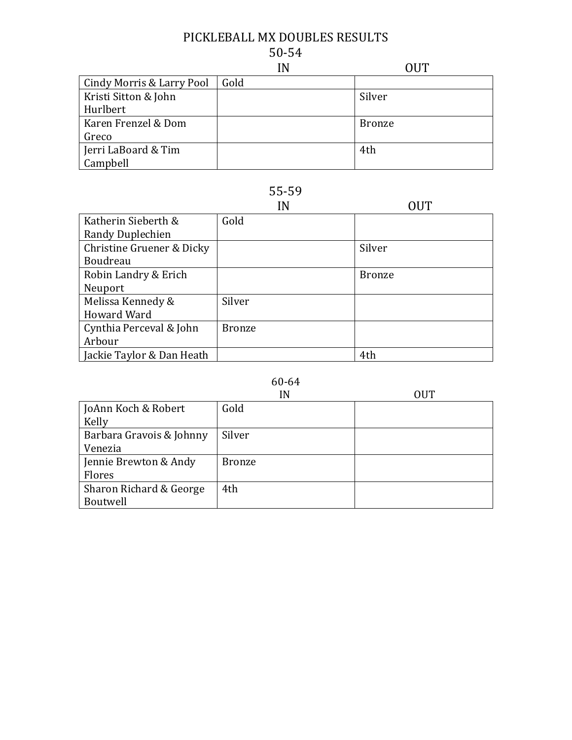### PICKLEBALL MX DOUBLES RESULTS 50-54

|                           | IN   | 71 J T        |
|---------------------------|------|---------------|
| Cindy Morris & Larry Pool | Gold |               |
| Kristi Sitton & John      |      | Silver        |
| Hurlbert                  |      |               |
| Karen Frenzel & Dom       |      | <b>Bronze</b> |
| Greco                     |      |               |
| Jerri LaBoard & Tim       |      | 4th           |
| Campbell                  |      |               |

## 55-59

|                           | IN            | OUT           |
|---------------------------|---------------|---------------|
| Katherin Sieberth &       | Gold          |               |
| Randy Duplechien          |               |               |
| Christine Gruener & Dicky |               | Silver        |
| Boudreau                  |               |               |
| Robin Landry & Erich      |               | <b>Bronze</b> |
| Neuport                   |               |               |
| Melissa Kennedy &         | Silver        |               |
| <b>Howard Ward</b>        |               |               |
| Cynthia Perceval & John   | <b>Bronze</b> |               |
| Arbour                    |               |               |
| Jackie Taylor & Dan Heath |               | 4th           |

|                          | IN            | <b>OUT</b> |
|--------------------------|---------------|------------|
| JoAnn Koch & Robert      | Gold          |            |
| Kelly                    |               |            |
| Barbara Gravois & Johnny | Silver        |            |
| Venezia                  |               |            |
| Jennie Brewton & Andy    | <b>Bronze</b> |            |
| Flores                   |               |            |
| Sharon Richard & George  | 4th           |            |
| Boutwell                 |               |            |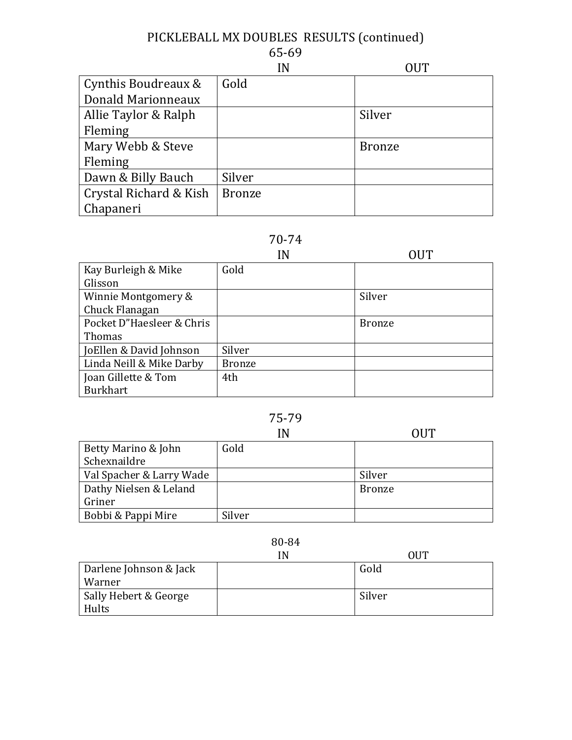# PICKLEBALL MX DOUBLES RESULTS (continued)

# 65-69

|                        | IN            | OUT           |
|------------------------|---------------|---------------|
| Cynthis Boudreaux &    | Gold          |               |
| Donald Marionneaux     |               |               |
| Allie Taylor & Ralph   |               | Silver        |
| Fleming                |               |               |
| Mary Webb & Steve      |               | <b>Bronze</b> |
| Fleming                |               |               |
| Dawn & Billy Bauch     | Silver        |               |
| Crystal Richard & Kish | <b>Bronze</b> |               |
| Chapaneri              |               |               |

# 70-74

|                           | IN            |               |
|---------------------------|---------------|---------------|
| Kay Burleigh & Mike       | Gold          |               |
| Glisson                   |               |               |
| Winnie Montgomery &       |               | Silver        |
| Chuck Flanagan            |               |               |
| Pocket D"Haesleer & Chris |               | <b>Bronze</b> |
| Thomas                    |               |               |
| JoEllen & David Johnson   | Silver        |               |
| Linda Neill & Mike Darby  | <b>Bronze</b> |               |
| Joan Gillette & Tom       | 4th           |               |
| <b>Burkhart</b>           |               |               |

# 75-79

|                          | IN     | OUT           |
|--------------------------|--------|---------------|
| Betty Marino & John      | Gold   |               |
| Schexnaildre             |        |               |
| Val Spacher & Larry Wade |        | Silver        |
| Dathy Nielsen & Leland   |        | <b>Bronze</b> |
| Griner                   |        |               |
| Bobbi & Pappi Mire       | Silver |               |

|                        | IN | OUT    |
|------------------------|----|--------|
| Darlene Johnson & Jack |    | Gold   |
| Warner                 |    |        |
| Sally Hebert & George  |    | Silver |
| Hults                  |    |        |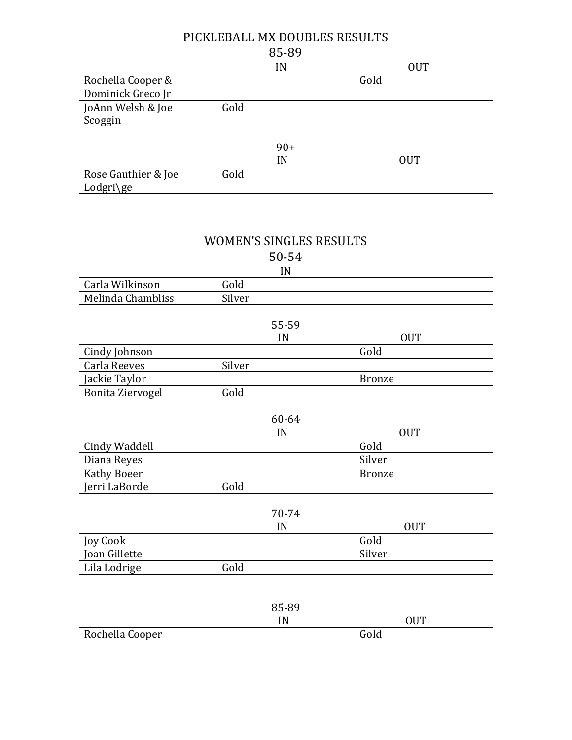## PICKLEBALL MX DOUBLES RESULTS 85-89

|                   | IN   | OUT  |
|-------------------|------|------|
| Rochella Cooper & |      | Gold |
| Dominick Greco Jr |      |      |
| JoAnn Welsh & Joe | Gold |      |
| Scoggin           |      |      |

|                                  | $90+$ |     |  |
|----------------------------------|-------|-----|--|
|                                  | IN    | OUT |  |
| Rose Gauthier & Joe<br>Lodgri\ge | Gold  |     |  |

#### WOMEN'S SINGLES RESULTS

50-54 IN

| П١                |        |  |
|-------------------|--------|--|
| Carla Wilkinson   | Gold   |  |
| Melinda Chambliss | Silver |  |

|--|--|

| Cindy Johnson    |        | Gold   |
|------------------|--------|--------|
| Carla Reeves     | Silver |        |
| Jackie Taylor    |        | Bronze |
| Bonita Ziervogel | Gold   |        |

#### 60-64

|               | IN   | <b>OUT</b> |
|---------------|------|------------|
| Cindy Waddell |      | Gold       |
| Diana Reyes   |      | Silver     |
| Kathy Boeer   |      | Bronze     |
| Jerri LaBorde | Gold |            |

|               | IN   | OUT    |
|---------------|------|--------|
| Joy Cook      |      | Gold   |
| Joan Gillette |      | Silver |
| Lila Lodrige  | Gold |        |

|                 | 85-89 |      |
|-----------------|-------|------|
|                 | IN    | OUT  |
| Rochella Cooper |       | Gold |
|                 |       |      |

 $\mathbf{r}$